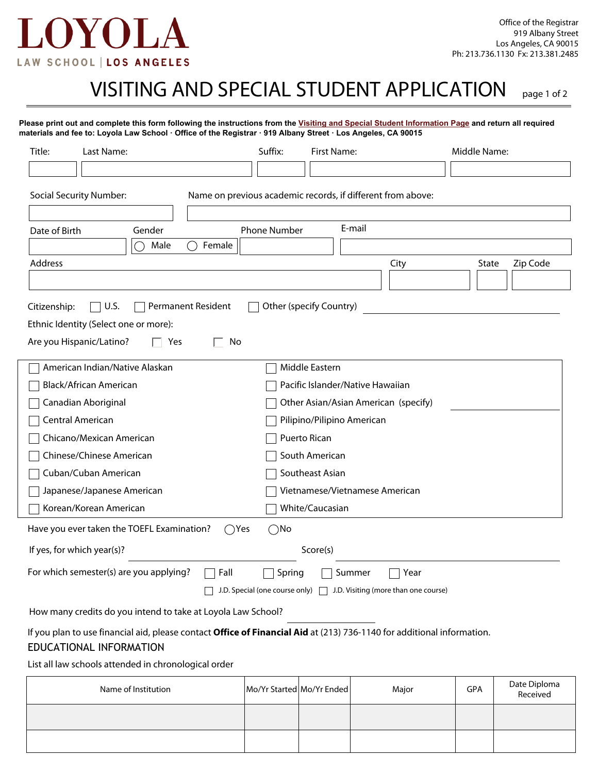

## VISITING AND SPECIAL STUDENT APPLICATION page 1 of 2

| Title:                     | Last Name:                                                                                                                                        | Suffix:                                                     | <b>First Name:</b>                   |                                      | Middle Name: |          |  |  |
|----------------------------|---------------------------------------------------------------------------------------------------------------------------------------------------|-------------------------------------------------------------|--------------------------------------|--------------------------------------|--------------|----------|--|--|
|                            |                                                                                                                                                   |                                                             |                                      |                                      |              |          |  |  |
|                            | <b>Social Security Number:</b>                                                                                                                    | Name on previous academic records, if different from above: |                                      |                                      |              |          |  |  |
| Date of Birth              | Gender                                                                                                                                            | <b>Phone Number</b>                                         | E-mail                               |                                      |              |          |  |  |
|                            | Male<br>∩                                                                                                                                         | Female                                                      |                                      |                                      |              |          |  |  |
| Address                    |                                                                                                                                                   |                                                             |                                      | City                                 | State        | Zip Code |  |  |
|                            |                                                                                                                                                   |                                                             |                                      |                                      |              |          |  |  |
|                            | U.S.<br>Permanent Resident                                                                                                                        |                                                             | Other (specify Country)              |                                      |              |          |  |  |
| Citizenship:               | Ethnic Identity (Select one or more):                                                                                                             |                                                             |                                      |                                      |              |          |  |  |
|                            | Are you Hispanic/Latino?<br>Yes                                                                                                                   | No                                                          |                                      |                                      |              |          |  |  |
|                            |                                                                                                                                                   |                                                             |                                      |                                      |              |          |  |  |
|                            | American Indian/Native Alaskan                                                                                                                    |                                                             | Middle Eastern                       |                                      |              |          |  |  |
|                            | Black/African American                                                                                                                            |                                                             | Pacific Islander/Native Hawaiian     |                                      |              |          |  |  |
| Canadian Aboriginal        |                                                                                                                                                   |                                                             | Other Asian/Asian American (specify) |                                      |              |          |  |  |
| Central American           |                                                                                                                                                   |                                                             | Pilipino/Pilipino American           |                                      |              |          |  |  |
| Chicano/Mexican American   |                                                                                                                                                   |                                                             | Puerto Rican                         |                                      |              |          |  |  |
| Chinese/Chinese American   |                                                                                                                                                   |                                                             | South American                       |                                      |              |          |  |  |
| Cuban/Cuban American       |                                                                                                                                                   |                                                             | Southeast Asian                      |                                      |              |          |  |  |
| Japanese/Japanese American |                                                                                                                                                   |                                                             | Vietnamese/Vietnamese American       |                                      |              |          |  |  |
|                            | Korean/Korean American                                                                                                                            |                                                             | White/Caucasian                      |                                      |              |          |  |  |
|                            | Have you ever taken the TOEFL Examination?                                                                                                        | $\bigcirc$ No<br>()Yes                                      |                                      |                                      |              |          |  |  |
|                            | If yes, for which year(s)?                                                                                                                        |                                                             | Score(s)                             |                                      |              |          |  |  |
|                            | For which semester(s) are you applying?                                                                                                           | Fall<br>Spring                                              | Summer                               | Year                                 |              |          |  |  |
|                            |                                                                                                                                                   | J.D. Special (one course only) $\Box$                       |                                      | J.D. Visiting (more than one course) |              |          |  |  |
|                            | How many credits do you intend to take at Loyola Law School?                                                                                      |                                                             |                                      |                                      |              |          |  |  |
|                            | If you plan to use financial aid, please contact Office of Financial Aid at (213) 736-1140 for additional information.<br>EDUCATIONAL INFORMATION |                                                             |                                      |                                      |              |          |  |  |
|                            | List all law schools attended in chronological order                                                                                              |                                                             |                                      |                                      |              |          |  |  |
|                            |                                                                                                                                                   |                                                             |                                      |                                      |              |          |  |  |